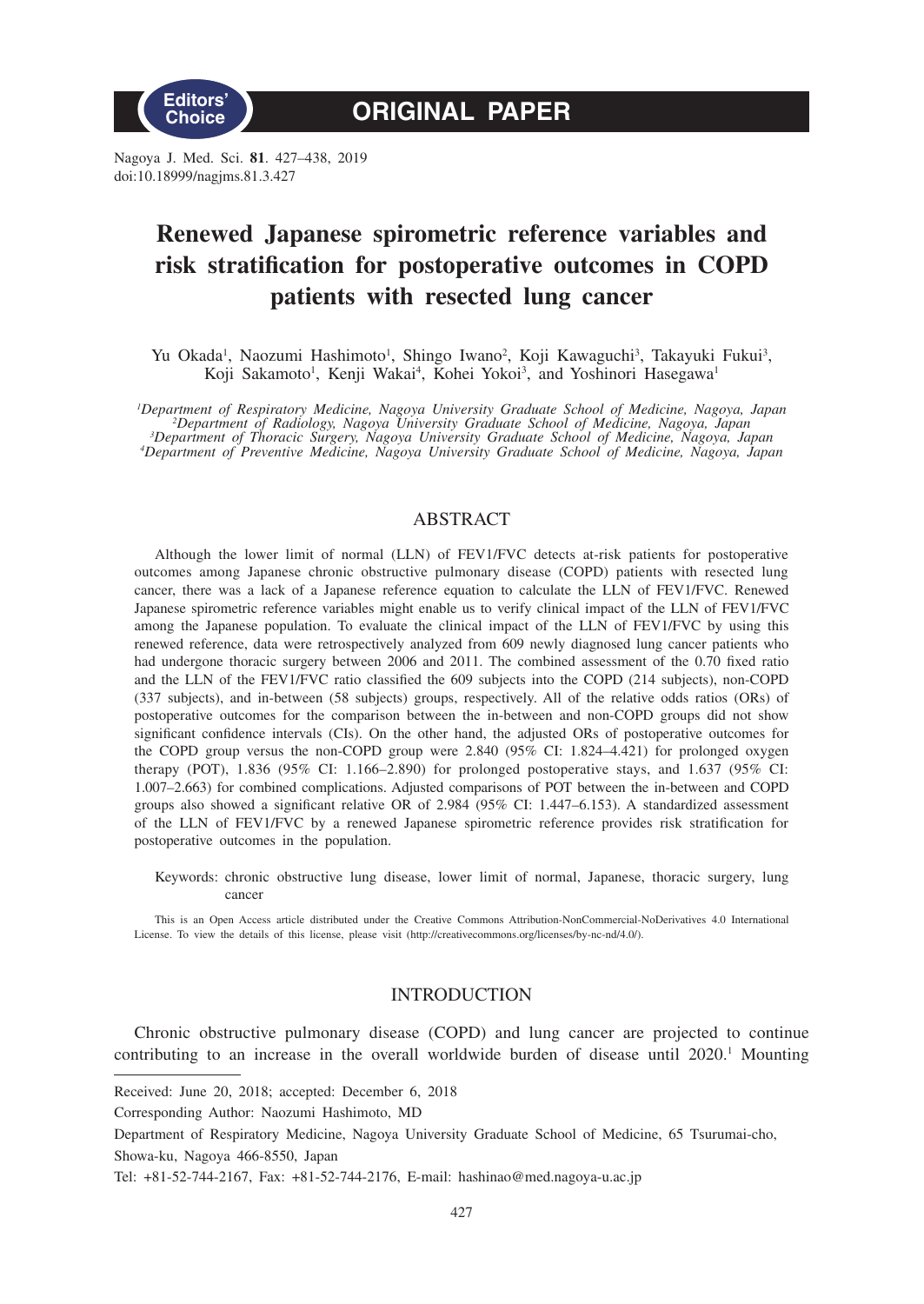

Nagoya J. Med. Sci. **81**. 427–438, 2019 doi:10.18999/nagjms.81.3.427

# **Renewed Japanese spirometric reference variables and risk stratification for postoperative outcomes in COPD patients with resected lung cancer**

Yu Okada<sup>1</sup>, Naozumi Hashimoto<sup>1</sup>, Shingo Iwano<sup>2</sup>, Koji Kawaguchi<sup>3</sup>, Takayuki Fukui<sup>3</sup>, Koji Sakamoto<sup>1</sup>, Kenji Wakai<sup>4</sup>, Kohei Yokoi<sup>3</sup>, and Yoshinori Hasegawa<sup>1</sup>

*1 Department of Respiratory Medicine, Nagoya University Graduate School of Medicine, Nagoya, Japan <sup>2</sup> Department of Radiology, Nagoya University Graduate School of Medicine, Nagoya, Japan <sup>3</sup> Department of Thoracic Surgery, Nagoya University Graduate School of Medicine, Nagoya, Japan <sup>4</sup> Department of Preventive Medicine, Nagoya University Graduate School of Medicine, Nagoya, Japan*

# ABSTRACT

Although the lower limit of normal (LLN) of FEV1/FVC detects at-risk patients for postoperative outcomes among Japanese chronic obstructive pulmonary disease (COPD) patients with resected lung cancer, there was a lack of a Japanese reference equation to calculate the LLN of FEV1/FVC. Renewed Japanese spirometric reference variables might enable us to verify clinical impact of the LLN of FEV1/FVC among the Japanese population. To evaluate the clinical impact of the LLN of FEV1/FVC by using this renewed reference, data were retrospectively analyzed from 609 newly diagnosed lung cancer patients who had undergone thoracic surgery between 2006 and 2011. The combined assessment of the 0.70 fixed ratio and the LLN of the FEV1/FVC ratio classified the 609 subjects into the COPD (214 subjects), non-COPD (337 subjects), and in-between (58 subjects) groups, respectively. All of the relative odds ratios (ORs) of postoperative outcomes for the comparison between the in-between and non-COPD groups did not show significant confidence intervals (CIs). On the other hand, the adjusted ORs of postoperative outcomes for the COPD group versus the non-COPD group were 2.840 (95% CI: 1.824–4.421) for prolonged oxygen therapy (POT), 1.836 (95% CI: 1.166–2.890) for prolonged postoperative stays, and 1.637 (95% CI: 1.007–2.663) for combined complications. Adjusted comparisons of POT between the in-between and COPD groups also showed a significant relative OR of 2.984 (95% CI: 1.447–6.153). A standardized assessment of the LLN of FEV1/FVC by a renewed Japanese spirometric reference provides risk stratification for postoperative outcomes in the population.

Keywords: chronic obstructive lung disease, lower limit of normal, Japanese, thoracic surgery, lung cancer

This is an Open Access article distributed under the Creative Commons Attribution-NonCommercial-NoDerivatives 4.0 International License. To view the details of this license, please visit (http://creativecommons.org/licenses/by-nc-nd/4.0/).

## INTRODUCTION

Chronic obstructive pulmonary disease (COPD) and lung cancer are projected to continue contributing to an increase in the overall worldwide burden of disease until 2020.<sup>1</sup> Mounting

Received: June 20, 2018; accepted: December 6, 2018

Corresponding Author: Naozumi Hashimoto, MD

Department of Respiratory Medicine, Nagoya University Graduate School of Medicine, 65 Tsurumai-cho, Showa-ku, Nagoya 466-8550, Japan

Tel: +81-52-744-2167, Fax: +81-52-744-2176, E-mail: hashinao@med.nagoya-u.ac.jp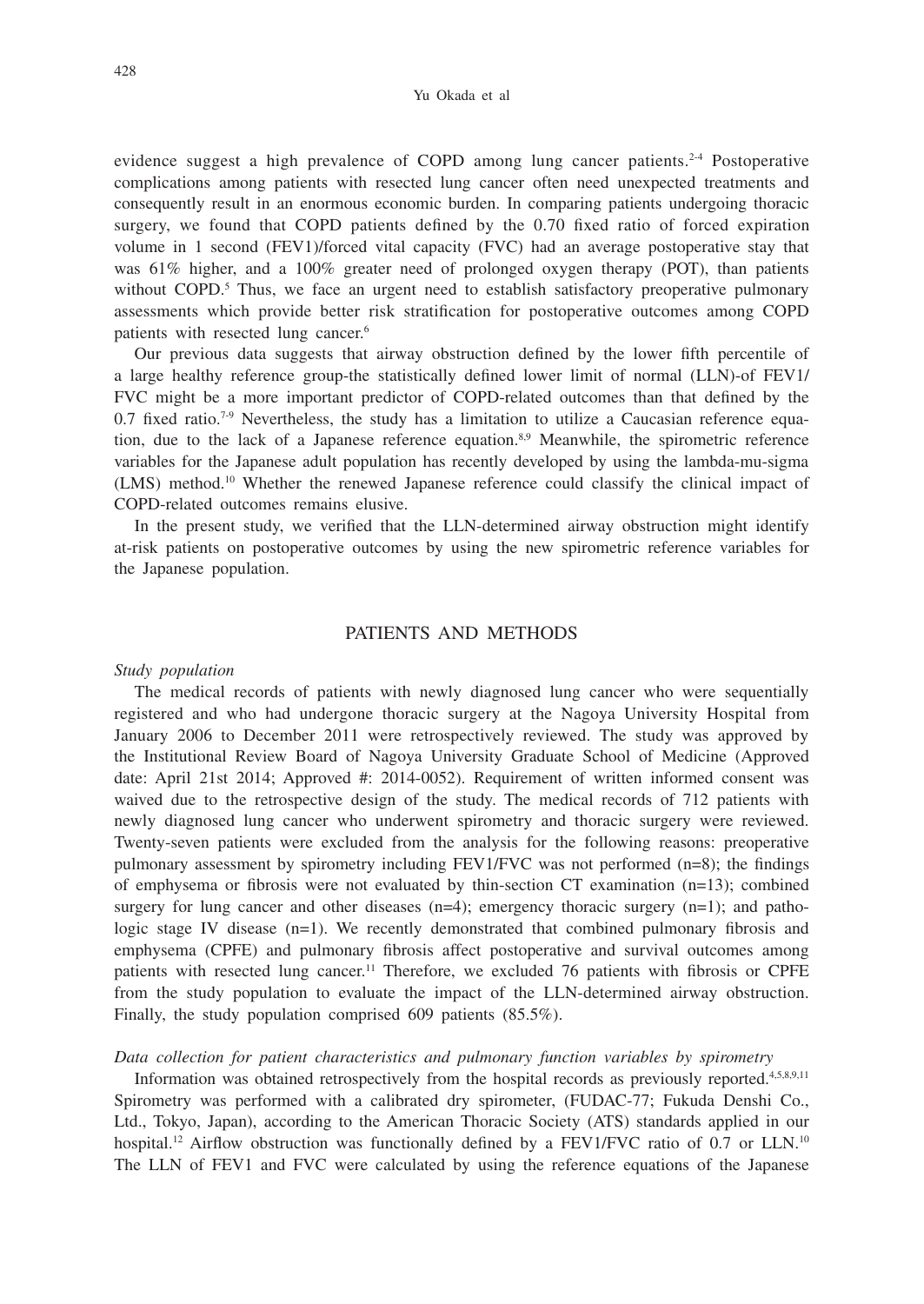evidence suggest a high prevalence of COPD among lung cancer patients.<sup>2-4</sup> Postoperative complications among patients with resected lung cancer often need unexpected treatments and consequently result in an enormous economic burden. In comparing patients undergoing thoracic surgery, we found that COPD patients defined by the 0.70 fixed ratio of forced expiration volume in 1 second (FEV1)/forced vital capacity (FVC) had an average postoperative stay that was 61% higher, and a 100% greater need of prolonged oxygen therapy (POT), than patients without COPD.<sup>5</sup> Thus, we face an urgent need to establish satisfactory preoperative pulmonary assessments which provide better risk stratification for postoperative outcomes among COPD patients with resected lung cancer.6

Our previous data suggests that airway obstruction defined by the lower fifth percentile of a large healthy reference group-the statistically defined lower limit of normal (LLN)-of FEV1/ FVC might be a more important predictor of COPD-related outcomes than that defined by the  $0.7$  fixed ratio.<sup>7-9</sup> Nevertheless, the study has a limitation to utilize a Caucasian reference equation, due to the lack of a Japanese reference equation.8,9 Meanwhile, the spirometric reference variables for the Japanese adult population has recently developed by using the lambda-mu-sigma (LMS) method.10 Whether the renewed Japanese reference could classify the clinical impact of COPD-related outcomes remains elusive.

In the present study, we verified that the LLN-determined airway obstruction might identify at-risk patients on postoperative outcomes by using the new spirometric reference variables for the Japanese population.

## PATIENTS AND METHODS

### *Study population*

The medical records of patients with newly diagnosed lung cancer who were sequentially registered and who had undergone thoracic surgery at the Nagoya University Hospital from January 2006 to December 2011 were retrospectively reviewed. The study was approved by the Institutional Review Board of Nagoya University Graduate School of Medicine (Approved date: April 21st 2014; Approved #: 2014-0052). Requirement of written informed consent was waived due to the retrospective design of the study. The medical records of 712 patients with newly diagnosed lung cancer who underwent spirometry and thoracic surgery were reviewed. Twenty-seven patients were excluded from the analysis for the following reasons: preoperative pulmonary assessment by spirometry including  $FEV1/FVC$  was not performed  $(n=8)$ ; the findings of emphysema or fibrosis were not evaluated by thin-section CT examination (n=13); combined surgery for lung cancer and other diseases  $(n=4)$ ; emergency thoracic surgery  $(n=1)$ ; and pathologic stage IV disease (n=1). We recently demonstrated that combined pulmonary fibrosis and emphysema (CPFE) and pulmonary fibrosis affect postoperative and survival outcomes among patients with resected lung cancer.<sup>11</sup> Therefore, we excluded 76 patients with fibrosis or CPFE from the study population to evaluate the impact of the LLN-determined airway obstruction. Finally, the study population comprised 609 patients (85.5%).

### *Data collection for patient characteristics and pulmonary function variables by spirometry*

Information was obtained retrospectively from the hospital records as previously reported.<sup>4,5,8,9,11</sup> Spirometry was performed with a calibrated dry spirometer, (FUDAC-77; Fukuda Denshi Co., Ltd., Tokyo, Japan), according to the American Thoracic Society (ATS) standards applied in our hospital.<sup>12</sup> Airflow obstruction was functionally defined by a FEV1/FVC ratio of 0.7 or LLN.<sup>10</sup> The LLN of FEV1 and FVC were calculated by using the reference equations of the Japanese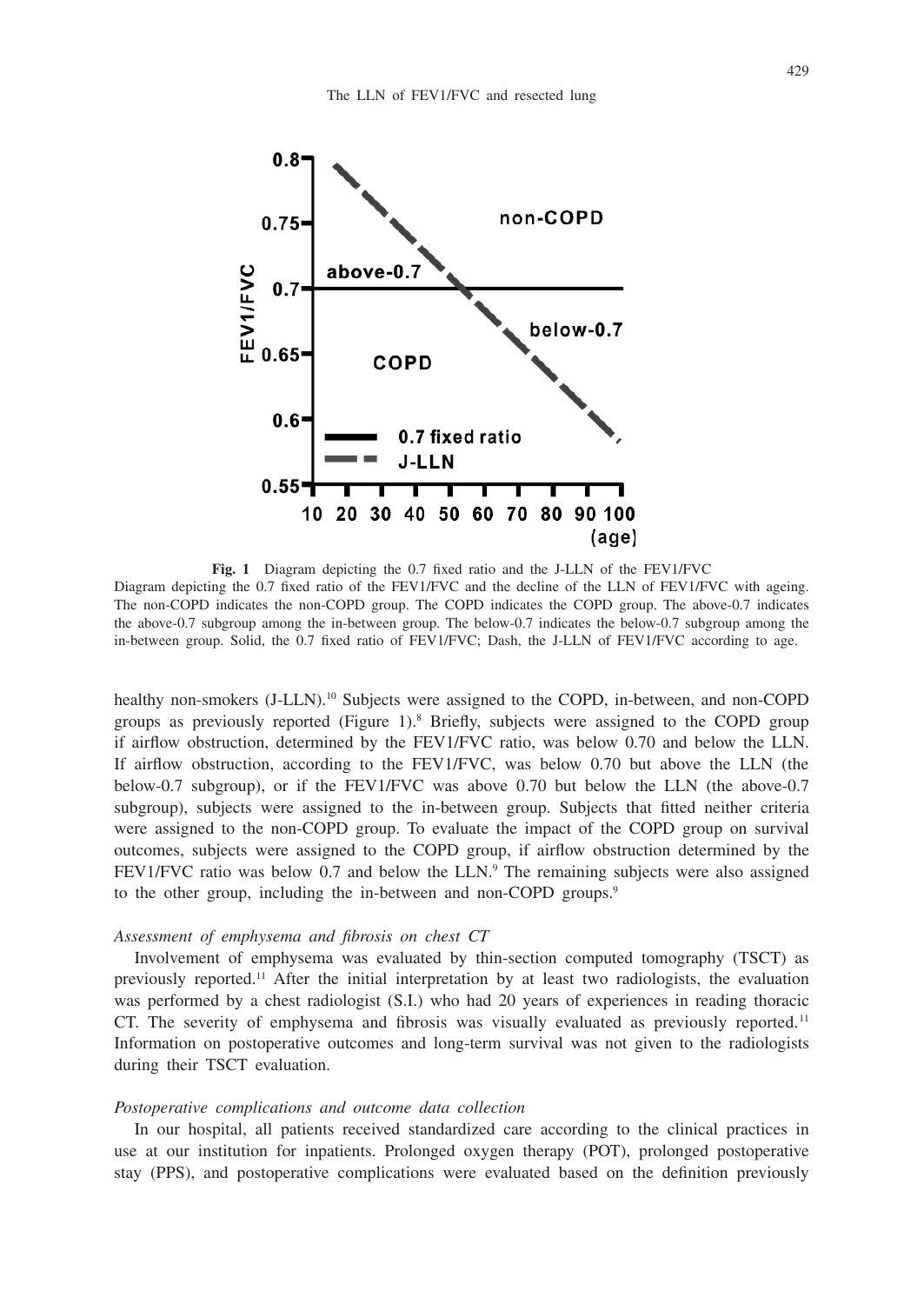

**Fig. 1** Diagram depicting the 0.7 fixed ratio and the J-LLN of the FEV1/FVC Diagram depicting the 0.7 fixed ratio of the FEV1/FVC and the decline of the LLN of FEV1/FVC with ageing. The non-COPD indicates the non-COPD group. The COPD indicates the COPD group. The above-0.7 indicates the above-0.7 subgroup among the in-between group. The below-0.7 indicates the below-0.7 subgroup among the in-between group. Solid, the 0.7 fixed ratio of FEV1/FVC; Dash, the J-LLN of FEV1/FVC according to age.

healthy non-smokers (J-LLN).<sup>10</sup> Subjects were assigned to the COPD, in-between, and non-COPD groups as previously reported (Figure 1).8 Briefly, subjects were assigned to the COPD group if airflow obstruction, determined by the FEV1/FVC ratio, was below 0.70 and below the LLN. If airflow obstruction, according to the FEV1/FVC, was below 0.70 but above the LLN (the below-0.7 subgroup), or if the FEV1/FVC was above 0.70 but below the LLN (the above-0.7 subgroup), subjects were assigned to the in-between group. Subjects that fitted neither criteria were assigned to the non-COPD group. To evaluate the impact of the COPD group on survival outcomes, subjects were assigned to the COPD group, if airflow obstruction determined by the FEV1/FVC ratio was below 0.7 and below the LLN.<sup>9</sup> The remaining subjects were also assigned to the other group, including the in-between and non-COPD groups.<sup>9</sup>

#### *Assessment of emphysema and fibrosis on chest CT*

Involvement of emphysema was evaluated by thin-section computed tomography (TSCT) as previously reported.11 After the initial interpretation by at least two radiologists, the evaluation was performed by a chest radiologist (S.I.) who had 20 years of experiences in reading thoracic CT. The severity of emphysema and fibrosis was visually evaluated as previously reported.<sup>11</sup> Information on postoperative outcomes and long-term survival was not given to the radiologists during their TSCT evaluation.

### *Postoperative complications and outcome data collection*

In our hospital, all patients received standardized care according to the clinical practices in use at our institution for inpatients. Prolonged oxygen therapy (POT), prolonged postoperative stay (PPS), and postoperative complications were evaluated based on the definition previously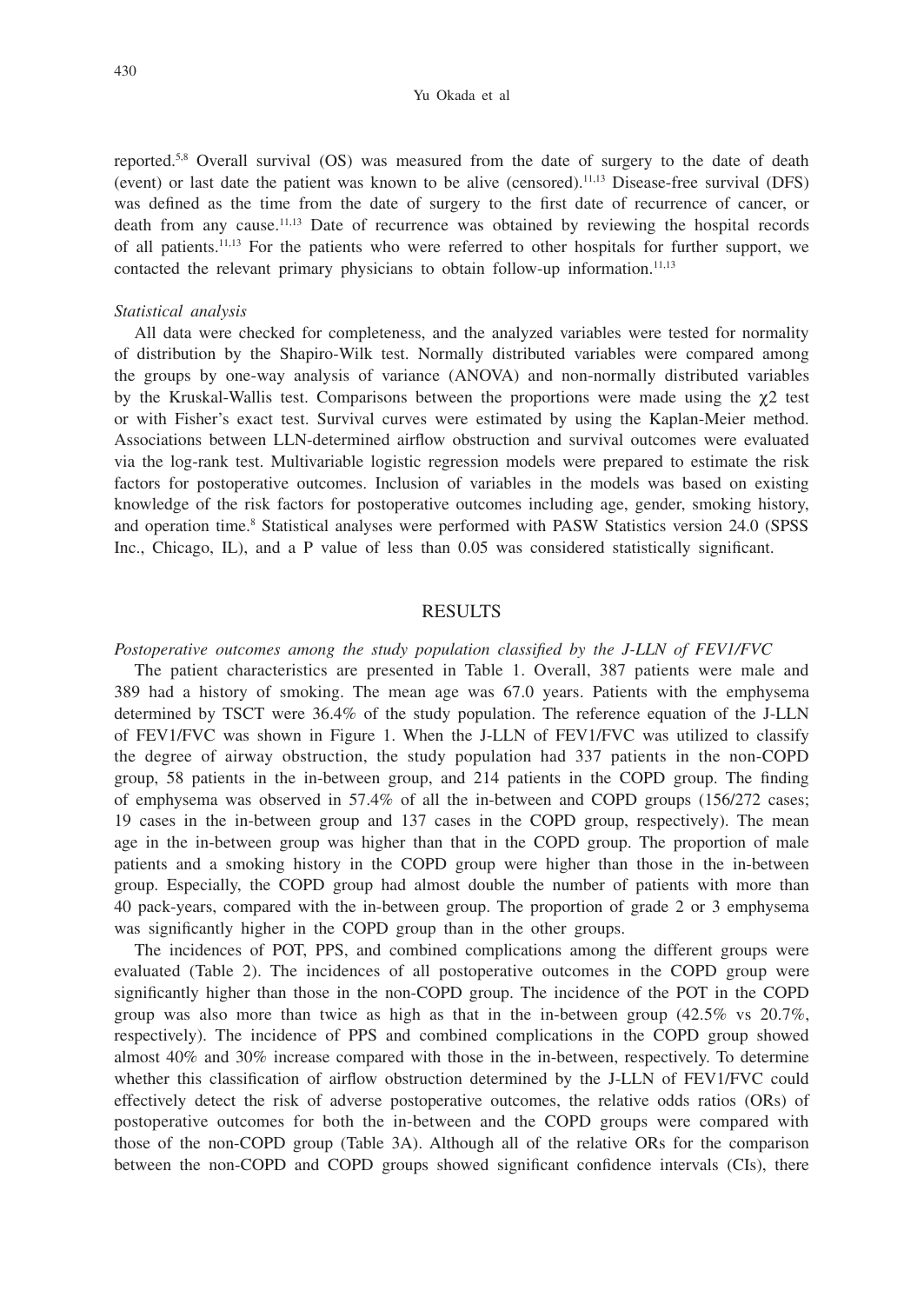reported.<sup>5,8</sup> Overall survival (OS) was measured from the date of surgery to the date of death (event) or last date the patient was known to be alive (censored).11,13 Disease-free survival (DFS) was defined as the time from the date of surgery to the first date of recurrence of cancer, or death from any cause.11,13 Date of recurrence was obtained by reviewing the hospital records of all patients.11,13 For the patients who were referred to other hospitals for further support, we contacted the relevant primary physicians to obtain follow-up information.<sup>11,13</sup>

#### *Statistical analysis*

All data were checked for completeness, and the analyzed variables were tested for normality of distribution by the Shapiro-Wilk test. Normally distributed variables were compared among the groups by one-way analysis of variance (ANOVA) and non-normally distributed variables by the Kruskal-Wallis test. Comparisons between the proportions were made using the  $\chi$ 2 test or with Fisher's exact test. Survival curves were estimated by using the Kaplan-Meier method. Associations between LLN-determined airflow obstruction and survival outcomes were evaluated via the log-rank test. Multivariable logistic regression models were prepared to estimate the risk factors for postoperative outcomes. Inclusion of variables in the models was based on existing knowledge of the risk factors for postoperative outcomes including age, gender, smoking history, and operation time.<sup>8</sup> Statistical analyses were performed with PASW Statistics version 24.0 (SPSS Inc., Chicago, IL), and a P value of less than 0.05 was considered statistically significant.

## RESULTS

## *Postoperative outcomes among the study population classified by the J-LLN of FEV1/FVC*

The patient characteristics are presented in Table 1. Overall, 387 patients were male and 389 had a history of smoking. The mean age was 67.0 years. Patients with the emphysema determined by TSCT were 36.4% of the study population. The reference equation of the J-LLN of FEV1/FVC was shown in Figure 1. When the J-LLN of FEV1/FVC was utilized to classify the degree of airway obstruction, the study population had 337 patients in the non-COPD group, 58 patients in the in-between group, and 214 patients in the COPD group. The finding of emphysema was observed in 57.4% of all the in-between and COPD groups (156/272 cases; 19 cases in the in-between group and 137 cases in the COPD group, respectively). The mean age in the in-between group was higher than that in the COPD group. The proportion of male patients and a smoking history in the COPD group were higher than those in the in-between group. Especially, the COPD group had almost double the number of patients with more than 40 pack-years, compared with the in-between group. The proportion of grade 2 or 3 emphysema was significantly higher in the COPD group than in the other groups.

The incidences of POT, PPS, and combined complications among the different groups were evaluated (Table 2). The incidences of all postoperative outcomes in the COPD group were significantly higher than those in the non-COPD group. The incidence of the POT in the COPD group was also more than twice as high as that in the in-between group  $(42.5\% \text{ vs } 20.7\%$ , respectively). The incidence of PPS and combined complications in the COPD group showed almost 40% and 30% increase compared with those in the in-between, respectively. To determine whether this classification of airflow obstruction determined by the J-LLN of FEV1/FVC could effectively detect the risk of adverse postoperative outcomes, the relative odds ratios (ORs) of postoperative outcomes for both the in-between and the COPD groups were compared with those of the non-COPD group (Table 3A). Although all of the relative ORs for the comparison between the non-COPD and COPD groups showed significant confidence intervals (CIs), there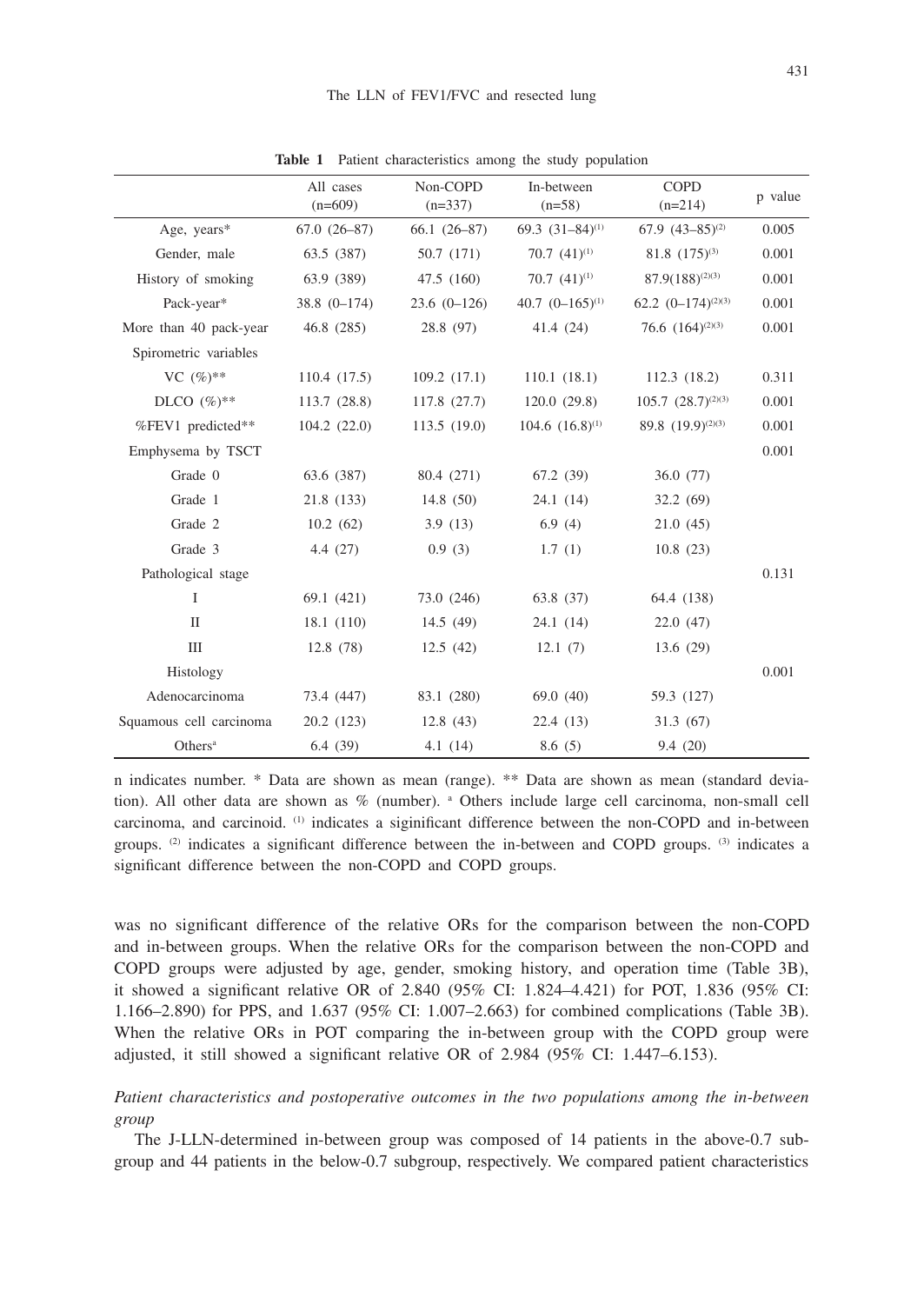|                         | All cases<br>$(n=609)$ | Non-COPD<br>$(n=337)$ | In-between<br>$(n=58)$ | <b>COPD</b><br>$(n=214)$      | p value |
|-------------------------|------------------------|-----------------------|------------------------|-------------------------------|---------|
| Age, $years*$           | $67.0(26-87)$          | $66.1(26-87)$         | 69.3 $(31-84)^{(1)}$   | 67.9 $(43-85)^{(2)}$          | 0.005   |
| Gender, male            | 63.5 (387)             | 50.7 (171)            | 70.7 $(41)^{(1)}$      | 81.8 $(175)^{(3)}$            | 0.001   |
| History of smoking      | 63.9 (389)             | 47.5 (160)            | 70.7 $(41)^{(1)}$      | $87.9(188)^{(2)(3)}$          | 0.001   |
| Pack-year*              | $38.8(0-174)$          | $23.6(0-126)$         | 40.7 $(0-165)^{(1)}$   | 62.2 $(0-174)^{(2)(3)}$       | 0.001   |
| More than 40 pack-year  | 46.8 (285)             | 28.8 (97)             | 41.4 (24)              | 76.6 $(164)^{(2)(3)}$         | 0.001   |
| Spirometric variables   |                        |                       |                        |                               |         |
| VC $(\%)^{**}$          | 110.4 (17.5)           | 109.2(17.1)           | 110.1(18.1)            | 112.3 (18.2)                  | 0.311   |
| DLCO $(\%)^{**}$        | 113.7(28.8)            | 117.8 (27.7)          | 120.0(29.8)            | $105.7 (28.7)^{(2)(3)}$       | 0.001   |
| %FEV1 predicted**       | 104.2(22.0)            | 113.5(19.0)           | $104.6$ $(16.8)^{(1)}$ | 89.8 (19.9) <sup>(2)(3)</sup> | 0.001   |
| Emphysema by TSCT       |                        |                       |                        |                               | 0.001   |
| Grade 0                 | 63.6 (387)             | 80.4 (271)            | 67.2 (39)              | 36.0 (77)                     |         |
| Grade 1                 | 21.8 (133)             | 14.8(50)              | 24.1(14)               | 32.2(69)                      |         |
| Grade 2                 | 10.2(62)               | 3.9(13)               | 6.9(4)                 | 21.0(45)                      |         |
| Grade 3                 | 4.4(27)                | 0.9(3)                | 1.7(1)                 | 10.8(23)                      |         |
| Pathological stage      |                        |                       |                        |                               | 0.131   |
| $\mathbf I$             | 69.1 (421)             | 73.0 (246)            | 63.8 (37)              | 64.4 (138)                    |         |
| $\mathbf{I}$            | 18.1(110)              | 14.5(49)              | 24.1(14)               | 22.0 (47)                     |         |
| Ш                       | 12.8(78)               | 12.5(42)              | 12.1(7)                | 13.6(29)                      |         |
| Histology               |                        |                       |                        |                               | 0.001   |
| Adenocarcinoma          | 73.4 (447)             | 83.1 (280)            | 69.0(40)               | 59.3 (127)                    |         |
| Squamous cell carcinoma | 20.2 (123)             | 12.8(43)              | 22.4(13)               | 31.3(67)                      |         |
| Others <sup>a</sup>     | 6.4(39)                | 4.1(14)               | 8.6(5)                 | 9.4(20)                       |         |

**Table 1** Patient characteristics among the study population

n indicates number. \* Data are shown as mean (range). \*\* Data are shown as mean (standard deviation). All other data are shown as % (number). a Others include large cell carcinoma, non-small cell carcinoma, and carcinoid. (1) indicates a siginificant difference between the non-COPD and in-between groups. (2) indicates a significant difference between the in-between and COPD groups. (3) indicates a significant difference between the non-COPD and COPD groups.

was no significant difference of the relative ORs for the comparison between the non-COPD and in-between groups. When the relative ORs for the comparison between the non-COPD and COPD groups were adjusted by age, gender, smoking history, and operation time (Table 3B), it showed a significant relative OR of 2.840 (95% CI: 1.824–4.421) for POT, 1.836 (95% CI: 1.166–2.890) for PPS, and 1.637 (95% CI: 1.007–2.663) for combined complications (Table 3B). When the relative ORs in POT comparing the in-between group with the COPD group were adjusted, it still showed a significant relative OR of 2.984 (95% CI: 1.447–6.153).

*Patient characteristics and postoperative outcomes in the two populations among the in-between group*

The J-LLN-determined in-between group was composed of 14 patients in the above-0.7 subgroup and 44 patients in the below-0.7 subgroup, respectively. We compared patient characteristics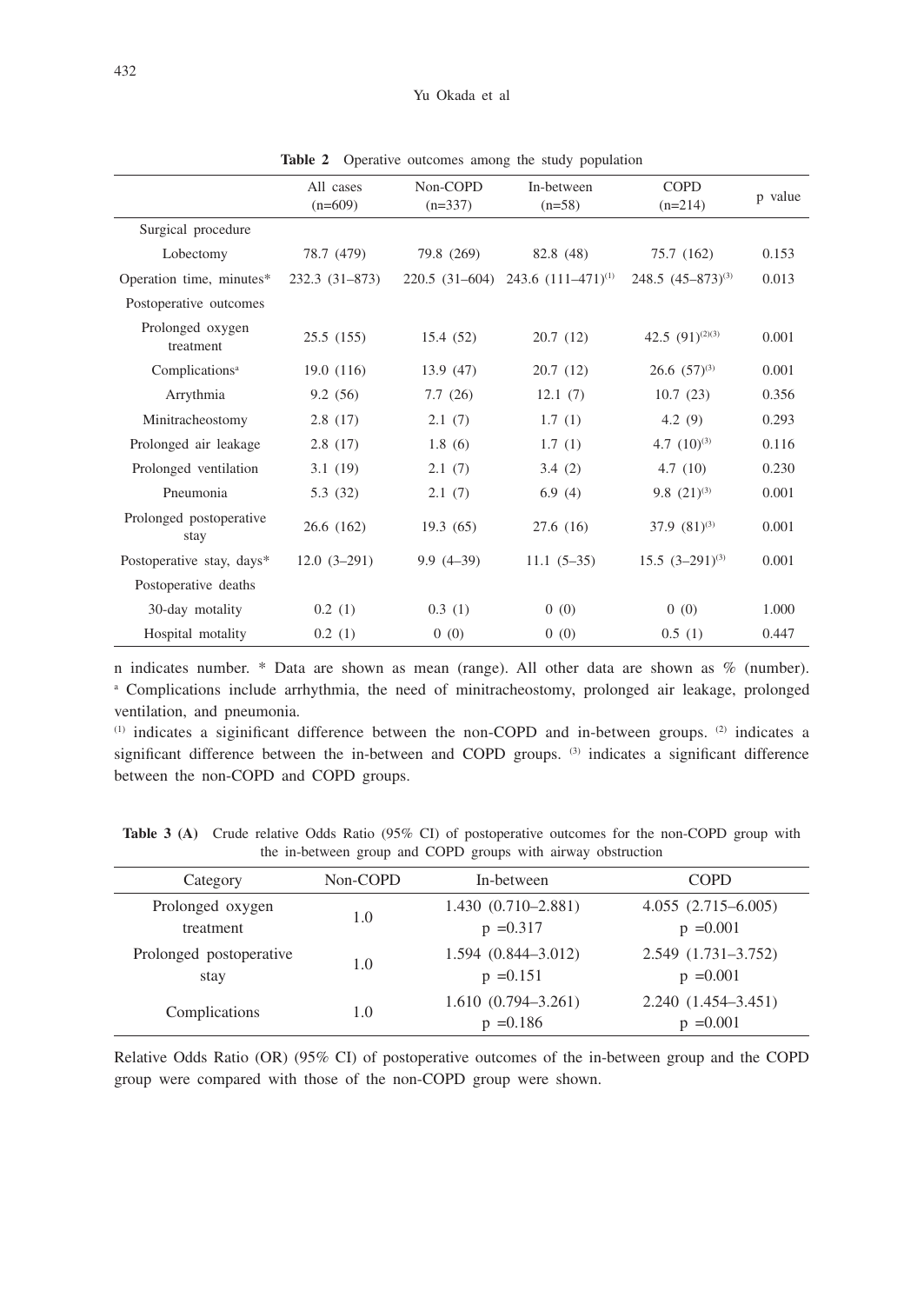|                                 | All cases<br>$(n=609)$ | Non-COPD<br>$(n=337)$ | In-between<br>$(n=58)$                   | <b>COPD</b><br>$(n=214)$ | p value |
|---------------------------------|------------------------|-----------------------|------------------------------------------|--------------------------|---------|
| Surgical procedure              |                        |                       |                                          |                          |         |
| Lobectomy                       | 78.7 (479)             | 79.8 (269)            | 82.8 (48)                                | 75.7 (162)               | 0.153   |
| Operation time, minutes*        | $232.3(31-873)$        |                       | 220.5 $(31-604)$ 243.6 $(111-471)^{(1)}$ | $248.5 (45 - 873)^{(3)}$ | 0.013   |
| Postoperative outcomes          |                        |                       |                                          |                          |         |
| Prolonged oxygen<br>treatment   | 25.5(155)              | 15.4 (52)             | 20.7(12)                                 | 42.5 $(91)^{(2)(3)}$     | 0.001   |
| Complications <sup>a</sup>      | 19.0(116)              | 13.9(47)              | 20.7(12)                                 | $26.6~(57)^{(3)}$        | 0.001   |
| Arrythmia                       | 9.2(56)                | 7.7(26)               | 12.1(7)                                  | 10.7(23)                 | 0.356   |
| Minitracheostomy                | 2.8(17)                | 2.1(7)                | 1.7(1)                                   | 4.2(9)                   | 0.293   |
| Prolonged air leakage           | 2.8(17)                | 1.8(6)                | 1.7(1)                                   | 4.7 $(10)^{(3)}$         | 0.116   |
| Prolonged ventilation           | 3.1(19)                | 2.1(7)                | 3.4(2)                                   | 4.7(10)                  | 0.230   |
| Pneumonia                       | 5.3(32)                | 2.1(7)                | 6.9(4)                                   | 9.8 $(21)^{(3)}$         | 0.001   |
| Prolonged postoperative<br>stay | 26.6(162)              | 19.3(65)              | 27.6(16)                                 | $37.9(81)^{(3)}$         | 0.001   |
| Postoperative stay, days*       | $12.0(3-291)$          | $9.9(4-39)$           | $11.1 (5-35)$                            | $15.5 (3-291)^{(3)}$     | 0.001   |
| Postoperative deaths            |                        |                       |                                          |                          |         |
| 30-day motality                 | 0.2(1)                 | 0.3(1)                | 0(0)                                     | 0(0)                     | 1.000   |
| Hospital motality               | 0.2(1)                 | 0(0)                  | 0(0)                                     | 0.5(1)                   | 0.447   |

Table 2 Operative outcomes among the study population

n indicates number. \* Data are shown as mean (range). All other data are shown as % (number). a Complications include arrhythmia, the need of minitracheostomy, prolonged air leakage, prolonged ventilation, and pneumonia.

 $(1)$  indicates a siginificant difference between the non-COPD and in-between groups.  $(2)$  indicates a significant difference between the in-between and COPD groups. <sup>(3)</sup> indicates a significant difference between the non-COPD and COPD groups.

**Table 3 (A)** Crude relative Odds Ratio (95% CI) of postoperative outcomes for the non-COPD group with the in-between group and COPD groups with airway obstruction

| Category                        | Non-COPD | In-between                            | <b>COPD</b>                           |
|---------------------------------|----------|---------------------------------------|---------------------------------------|
| Prolonged oxygen<br>treatment   | 1.0      | $1.430(0.710 - 2.881)$<br>$p = 0.317$ | $4.055(2.715-6.005)$<br>$p = 0.001$   |
| Prolonged postoperative<br>stay | 1.0      | $1.594(0.844 - 3.012)$<br>$p = 0.151$ | $2.549(1.731 - 3.752)$<br>$p = 0.001$ |
| Complications                   | 1.0      | $1.610(0.794 - 3.261)$<br>$p = 0.186$ | $2.240(1.454 - 3.451)$<br>$p = 0.001$ |

Relative Odds Ratio (OR) (95% CI) of postoperative outcomes of the in-between group and the COPD group were compared with those of the non-COPD group were shown.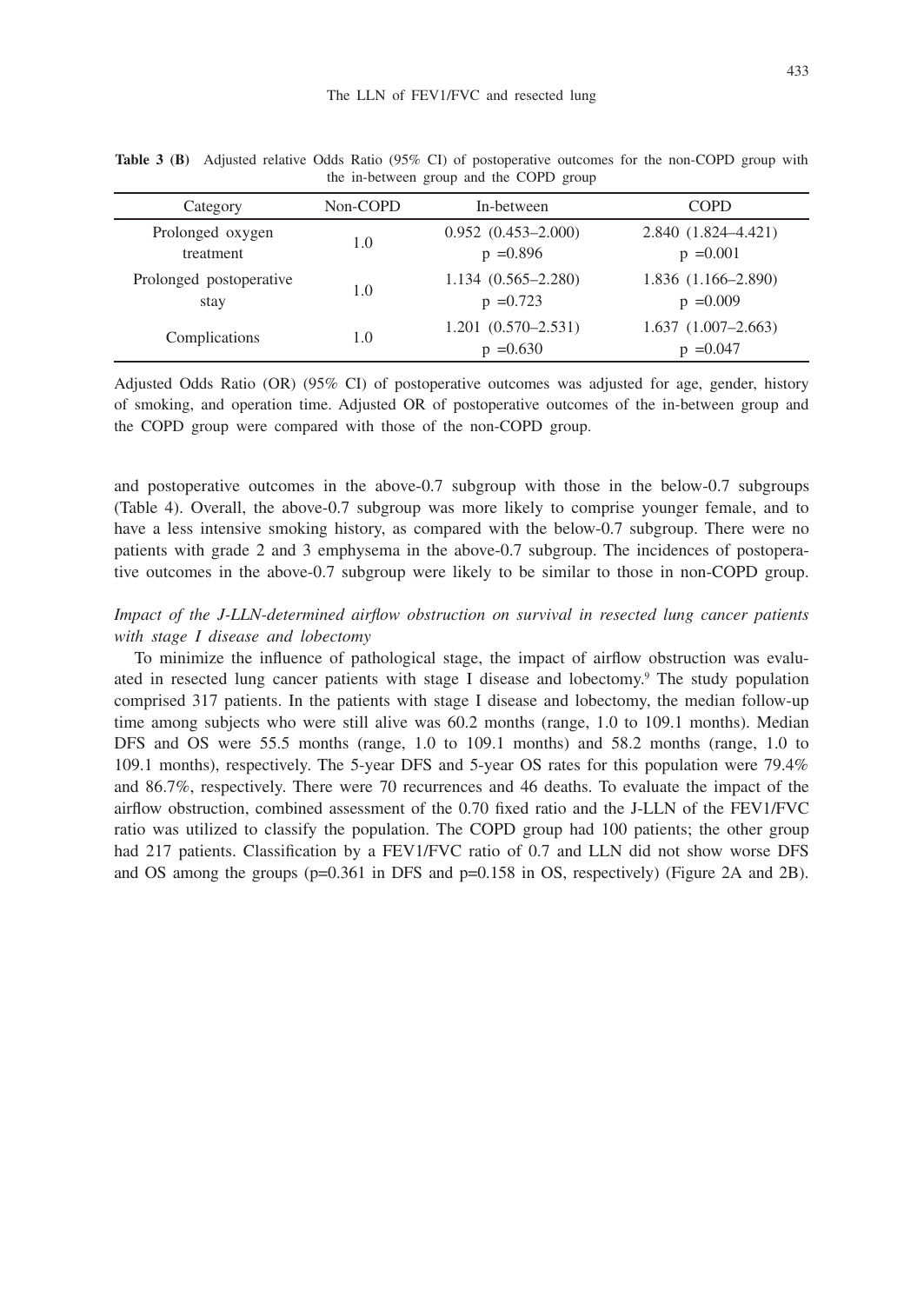| Category                        | Non-COPD | In-between                            | <b>COPD</b>                         |
|---------------------------------|----------|---------------------------------------|-------------------------------------|
| Prolonged oxygen<br>treatment   | 1.0      | $0.952(0.453 - 2.000)$<br>$p = 0.896$ | 2.840 (1.824-4.421)<br>$p = 0.001$  |
| Prolonged postoperative<br>stay | 1.0      | $1.134(0.565 - 2.280)$<br>$p = 0.723$ | $1.836(1.166-2.890)$<br>$p = 0.009$ |
| Complications                   | 1.0      | $1.201(0.570 - 2.531)$<br>$p = 0.630$ | $1.637(1.007-2.663)$<br>$p = 0.047$ |

**Table 3 (B)** Adjusted relative Odds Ratio (95% CI) of postoperative outcomes for the non-COPD group with the in-between group and the COPD group

Adjusted Odds Ratio (OR) (95% CI) of postoperative outcomes was adjusted for age, gender, history of smoking, and operation time. Adjusted OR of postoperative outcomes of the in-between group and the COPD group were compared with those of the non-COPD group.

and postoperative outcomes in the above-0.7 subgroup with those in the below-0.7 subgroups (Table 4). Overall, the above-0.7 subgroup was more likely to comprise younger female, and to have a less intensive smoking history, as compared with the below-0.7 subgroup. There were no patients with grade 2 and 3 emphysema in the above-0.7 subgroup. The incidences of postoperative outcomes in the above-0.7 subgroup were likely to be similar to those in non-COPD group.

# *Impact of the J-LLN-determined airflow obstruction on survival in resected lung cancer patients with stage I disease and lobectomy*

To minimize the influence of pathological stage, the impact of airflow obstruction was evaluated in resected lung cancer patients with stage I disease and lobectomy.<sup>9</sup> The study population comprised 317 patients. In the patients with stage I disease and lobectomy, the median follow-up time among subjects who were still alive was 60.2 months (range, 1.0 to 109.1 months). Median DFS and OS were 55.5 months (range, 1.0 to 109.1 months) and 58.2 months (range, 1.0 to 109.1 months), respectively. The 5-year DFS and 5-year OS rates for this population were 79.4% and 86.7%, respectively. There were 70 recurrences and 46 deaths. To evaluate the impact of the airflow obstruction, combined assessment of the 0.70 fixed ratio and the J-LLN of the FEV1/FVC ratio was utilized to classify the population. The COPD group had 100 patients; the other group had 217 patients. Classification by a FEV1/FVC ratio of 0.7 and LLN did not show worse DFS and OS among the groups (p=0.361 in DFS and p=0.158 in OS, respectively) (Figure 2A and 2B).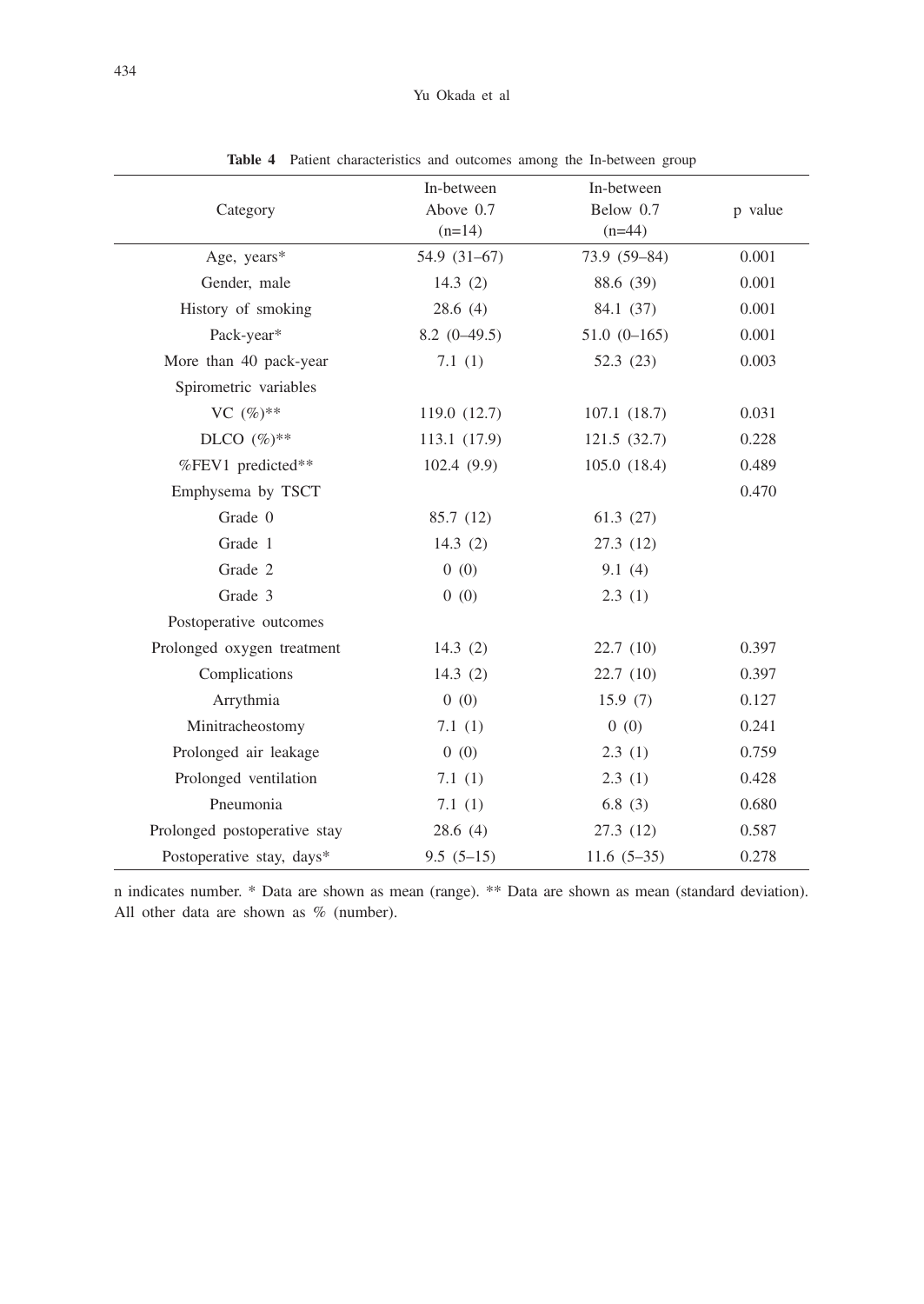| Category                     | In-between<br>Above 0.7<br>$(n=14)$ | In-between<br>Below 0.7<br>$(n=44)$ | p value |
|------------------------------|-------------------------------------|-------------------------------------|---------|
| Age, years*                  | $54.9(31-67)$                       | 73.9 (59-84)                        | 0.001   |
| Gender, male                 | 14.3 $(2)$                          | 88.6 (39)                           | 0.001   |
| History of smoking           | 28.6(4)                             | 84.1 (37)                           | 0.001   |
| Pack-year*                   | $8.2(0-49.5)$                       | $51.0(0-165)$                       | 0.001   |
| More than 40 pack-year       | 7.1(1)                              | 52.3 (23)                           | 0.003   |
| Spirometric variables        |                                     |                                     |         |
| VC $(\%)^{**}$               | 119.0 (12.7)                        | 107.1(18.7)                         | 0.031   |
| DLCO $(\%)^{**}$             | 113.1 (17.9)                        | 121.5(32.7)                         | 0.228   |
| %FEV1 predicted**            | 102.4(9.9)                          | 105.0(18.4)                         | 0.489   |
| Emphysema by TSCT            |                                     |                                     | 0.470   |
| Grade 0                      | 85.7 (12)                           | 61.3(27)                            |         |
| Grade 1                      | 14.3 $(2)$                          | 27.3 (12)                           |         |
| Grade 2                      | 0(0)                                | 9.1(4)                              |         |
| Grade 3                      | 0(0)                                | 2.3(1)                              |         |
| Postoperative outcomes       |                                     |                                     |         |
| Prolonged oxygen treatment   | 14.3(2)                             | 22.7(10)                            | 0.397   |
| Complications                | 14.3 $(2)$                          | 22.7(10)                            | 0.397   |
| Arrythmia                    | 0(0)                                | 15.9(7)                             | 0.127   |
| Minitracheostomy             | 7.1(1)                              | 0(0)                                | 0.241   |
| Prolonged air leakage        | 0(0)                                | 2.3(1)                              | 0.759   |
| Prolonged ventilation        | 7.1(1)                              | 2.3(1)                              | 0.428   |
| Pneumonia                    | 7.1(1)                              | 6.8(3)                              | 0.680   |
| Prolonged postoperative stay | 28.6(4)                             | 27.3 (12)                           | 0.587   |
| Postoperative stay, days*    | $9.5(5-15)$                         | $11.6(5-35)$                        | 0.278   |

**Table 4** Patient characteristics and outcomes among the In-between group

n indicates number. \* Data are shown as mean (range). \*\* Data are shown as mean (standard deviation). All other data are shown as % (number).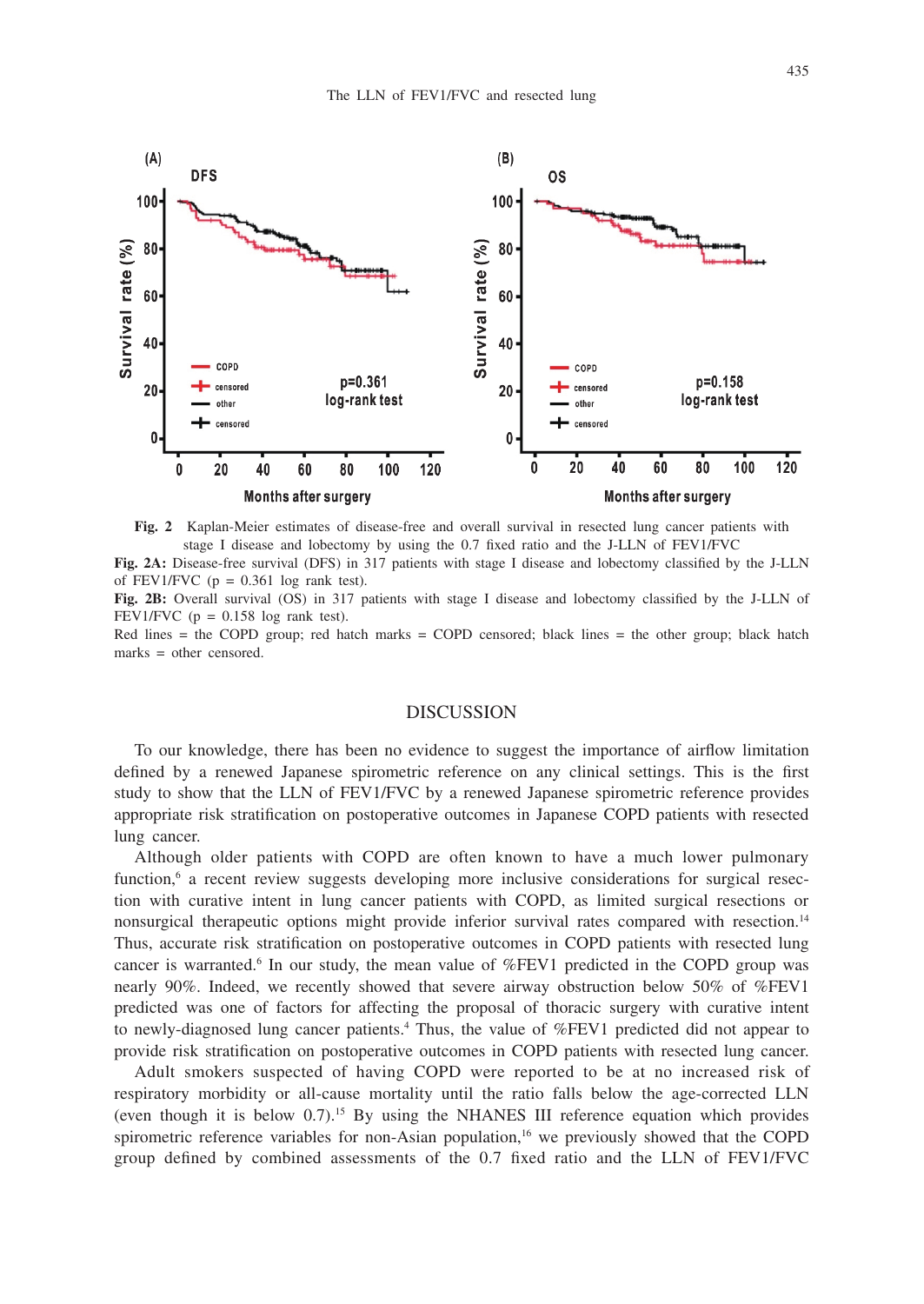

**Fig. 2** Kaplan-Meier estimates of disease-free and overall survival in resected lung cancer patients with stage I disease and lobectomy by using the 0.7 fixed ratio and the J-LLN of FEV1/FVC **Fig. 2A:** Disease-free survival (DFS) in 317 patients with stage I disease and lobectomy classified by the J-LLN

of FEV1/FVC ( $p = 0.361$  log rank test).

**Fig. 2B:** Overall survival (OS) in 317 patients with stage I disease and lobectomy classified by the J-LLN of FEV1/FVC  $(p = 0.158 \log \text{rank test})$ .

Red lines  $=$  the COPD group; red hatch marks  $=$  COPD censored; black lines  $=$  the other group; black hatch marks = other censored.

#### DISCUSSION

To our knowledge, there has been no evidence to suggest the importance of airflow limitation defined by a renewed Japanese spirometric reference on any clinical settings. This is the first study to show that the LLN of FEV1/FVC by a renewed Japanese spirometric reference provides appropriate risk stratification on postoperative outcomes in Japanese COPD patients with resected lung cancer.

Although older patients with COPD are often known to have a much lower pulmonary function,<sup>6</sup> a recent review suggests developing more inclusive considerations for surgical resection with curative intent in lung cancer patients with COPD, as limited surgical resections or nonsurgical therapeutic options might provide inferior survival rates compared with resection.14 Thus, accurate risk stratification on postoperative outcomes in COPD patients with resected lung cancer is warranted.<sup>6</sup> In our study, the mean value of %FEV1 predicted in the COPD group was nearly 90%. Indeed, we recently showed that severe airway obstruction below 50% of %FEV1 predicted was one of factors for affecting the proposal of thoracic surgery with curative intent to newly-diagnosed lung cancer patients.4 Thus, the value of %FEV1 predicted did not appear to provide risk stratification on postoperative outcomes in COPD patients with resected lung cancer.

Adult smokers suspected of having COPD were reported to be at no increased risk of respiratory morbidity or all-cause mortality until the ratio falls below the age-corrected LLN (even though it is below 0.7).15 By using the NHANES III reference equation which provides spirometric reference variables for non-Asian population,<sup>16</sup> we previously showed that the COPD group defined by combined assessments of the 0.7 fixed ratio and the LLN of FEV1/FVC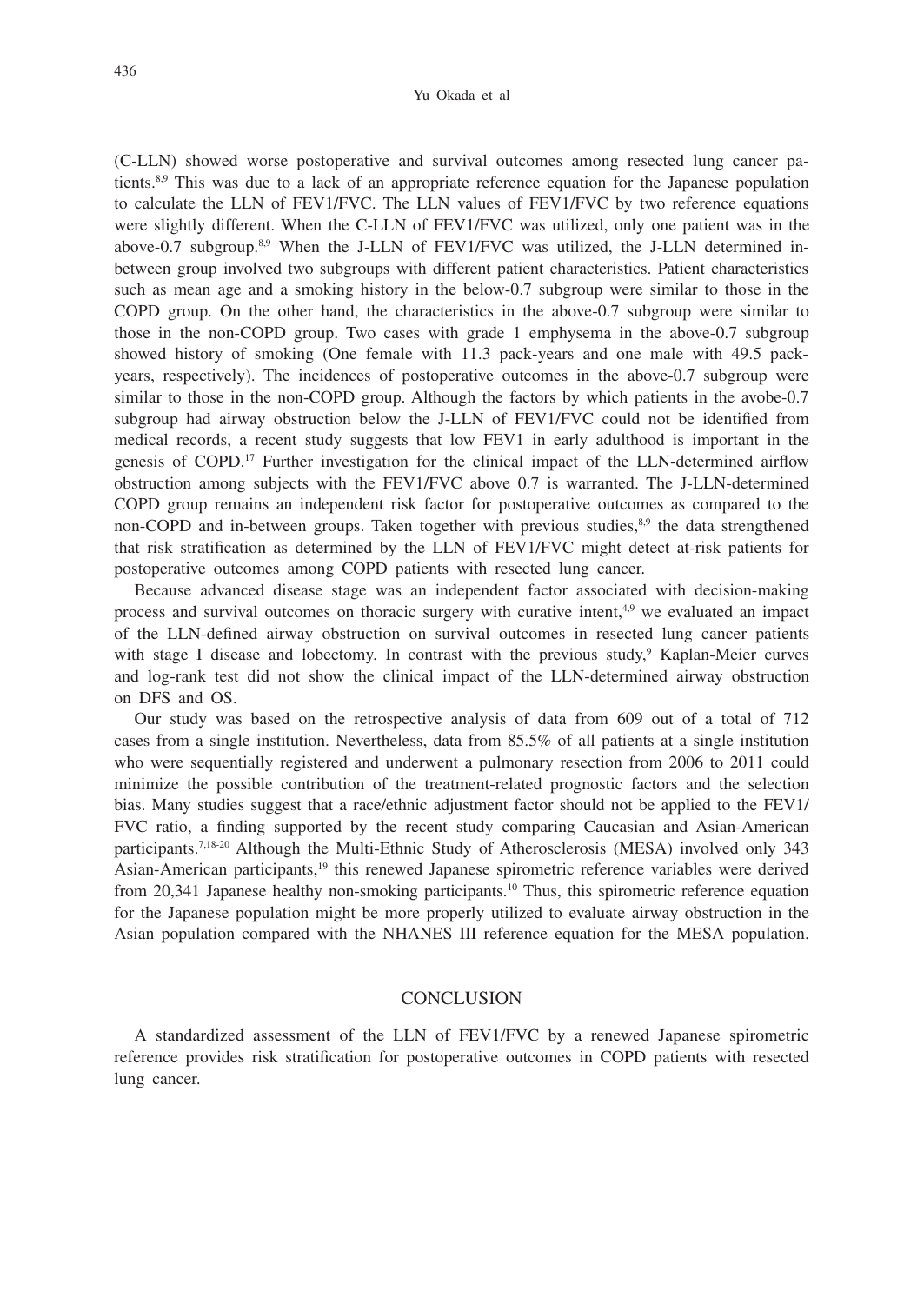(C-LLN) showed worse postoperative and survival outcomes among resected lung cancer patients.<sup>8,9</sup> This was due to a lack of an appropriate reference equation for the Japanese population to calculate the LLN of FEV1/FVC. The LLN values of FEV1/FVC by two reference equations were slightly different. When the C-LLN of FEV1/FVC was utilized, only one patient was in the above-0.7 subgroup.8,9 When the J-LLN of FEV1/FVC was utilized, the J-LLN determined inbetween group involved two subgroups with different patient characteristics. Patient characteristics such as mean age and a smoking history in the below-0.7 subgroup were similar to those in the COPD group. On the other hand, the characteristics in the above-0.7 subgroup were similar to those in the non-COPD group. Two cases with grade 1 emphysema in the above-0.7 subgroup showed history of smoking (One female with 11.3 pack-years and one male with 49.5 packyears, respectively). The incidences of postoperative outcomes in the above-0.7 subgroup were similar to those in the non-COPD group. Although the factors by which patients in the avobe-0.7 subgroup had airway obstruction below the J-LLN of FEV1/FVC could not be identified from medical records, a recent study suggests that low FEV1 in early adulthood is important in the genesis of COPD.17 Further investigation for the clinical impact of the LLN-determined airflow obstruction among subjects with the FEV1/FVC above 0.7 is warranted. The J-LLN-determined COPD group remains an independent risk factor for postoperative outcomes as compared to the non-COPD and in-between groups. Taken together with previous studies, 8,9 the data strengthened that risk stratification as determined by the LLN of FEV1/FVC might detect at-risk patients for postoperative outcomes among COPD patients with resected lung cancer.

Because advanced disease stage was an independent factor associated with decision-making process and survival outcomes on thoracic surgery with curative intent,<sup>4,9</sup> we evaluated an impact of the LLN-defined airway obstruction on survival outcomes in resected lung cancer patients with stage I disease and lobectomy. In contrast with the previous study,<sup>9</sup> Kaplan-Meier curves and log-rank test did not show the clinical impact of the LLN-determined airway obstruction on DFS and OS.

Our study was based on the retrospective analysis of data from 609 out of a total of 712 cases from a single institution. Nevertheless, data from 85.5% of all patients at a single institution who were sequentially registered and underwent a pulmonary resection from 2006 to 2011 could minimize the possible contribution of the treatment-related prognostic factors and the selection bias. Many studies suggest that a race/ethnic adjustment factor should not be applied to the FEV1/ FVC ratio, a finding supported by the recent study comparing Caucasian and Asian-American participants.7,18-20 Although the Multi-Ethnic Study of Atherosclerosis (MESA) involved only 343 Asian-American participants,19 this renewed Japanese spirometric reference variables were derived from 20,341 Japanese healthy non-smoking participants.10 Thus, this spirometric reference equation for the Japanese population might be more properly utilized to evaluate airway obstruction in the Asian population compared with the NHANES III reference equation for the MESA population.

#### **CONCLUSION**

A standardized assessment of the LLN of FEV1/FVC by a renewed Japanese spirometric reference provides risk stratification for postoperative outcomes in COPD patients with resected lung cancer.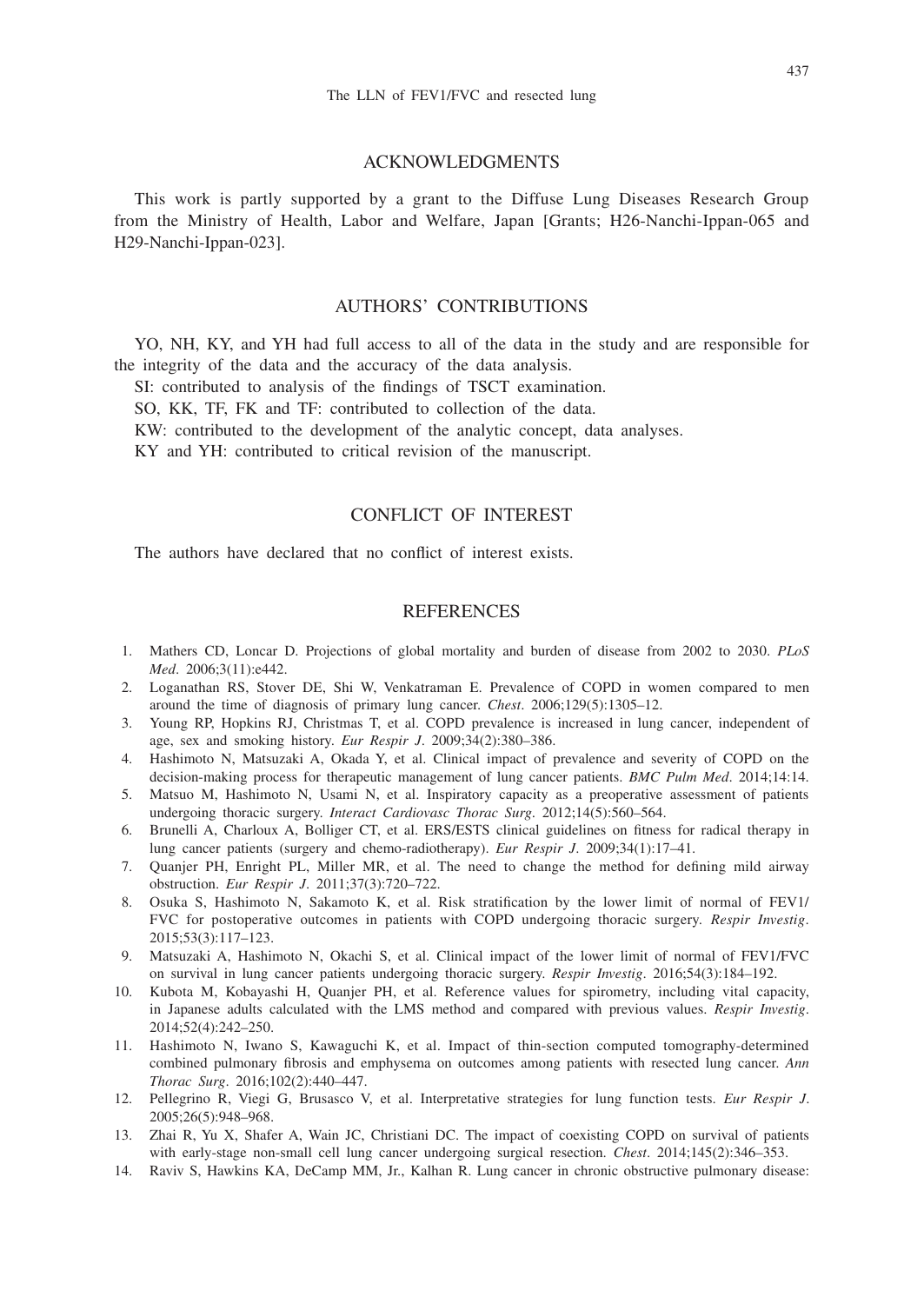## ACKNOWLEDGMENTS

This work is partly supported by a grant to the Diffuse Lung Diseases Research Group from the Ministry of Health, Labor and Welfare, Japan [Grants; H26-Nanchi-Ippan-065 and H29-Nanchi-Ippan-023].

## AUTHORS' CONTRIBUTIONS

YO, NH, KY, and YH had full access to all of the data in the study and are responsible for the integrity of the data and the accuracy of the data analysis.

SI: contributed to analysis of the findings of TSCT examination.

SO, KK, TF, FK and TF: contributed to collection of the data.

KW: contributed to the development of the analytic concept, data analyses.

KY and YH: contributed to critical revision of the manuscript.

# CONFLICT OF INTEREST

The authors have declared that no conflict of interest exists.

# **REFERENCES**

- 1. Mathers CD, Loncar D. Projections of global mortality and burden of disease from 2002 to 2030. *PLoS Med*. 2006;3(11):e442.
- 2. Loganathan RS, Stover DE, Shi W, Venkatraman E. Prevalence of COPD in women compared to men around the time of diagnosis of primary lung cancer. *Chest*. 2006;129(5):1305–12.
- 3. Young RP, Hopkins RJ, Christmas T, et al. COPD prevalence is increased in lung cancer, independent of age, sex and smoking history. *Eur Respir J*. 2009;34(2):380–386.
- 4. Hashimoto N, Matsuzaki A, Okada Y, et al. Clinical impact of prevalence and severity of COPD on the decision-making process for therapeutic management of lung cancer patients. *BMC Pulm Med*. 2014;14:14.
- 5. Matsuo M, Hashimoto N, Usami N, et al. Inspiratory capacity as a preoperative assessment of patients undergoing thoracic surgery. *Interact Cardiovasc Thorac Surg*. 2012;14(5):560–564.
- 6. Brunelli A, Charloux A, Bolliger CT, et al. ERS/ESTS clinical guidelines on fitness for radical therapy in lung cancer patients (surgery and chemo-radiotherapy). *Eur Respir J*. 2009;34(1):17–41.
- 7. Quanjer PH, Enright PL, Miller MR, et al. The need to change the method for defining mild airway obstruction. *Eur Respir J*. 2011;37(3):720–722.
- 8. Osuka S, Hashimoto N, Sakamoto K, et al. Risk stratification by the lower limit of normal of FEV1/ FVC for postoperative outcomes in patients with COPD undergoing thoracic surgery. *Respir Investig*. 2015;53(3):117–123.
- 9. Matsuzaki A, Hashimoto N, Okachi S, et al. Clinical impact of the lower limit of normal of FEV1/FVC on survival in lung cancer patients undergoing thoracic surgery. *Respir Investig*. 2016;54(3):184–192.
- 10. Kubota M, Kobayashi H, Quanjer PH, et al. Reference values for spirometry, including vital capacity, in Japanese adults calculated with the LMS method and compared with previous values. *Respir Investig*. 2014;52(4):242–250.
- 11. Hashimoto N, Iwano S, Kawaguchi K, et al. Impact of thin-section computed tomography-determined combined pulmonary fibrosis and emphysema on outcomes among patients with resected lung cancer. *Ann Thorac Surg*. 2016;102(2):440–447.
- 12. Pellegrino R, Viegi G, Brusasco V, et al. Interpretative strategies for lung function tests. *Eur Respir J*. 2005;26(5):948–968.
- 13. Zhai R, Yu X, Shafer A, Wain JC, Christiani DC. The impact of coexisting COPD on survival of patients with early-stage non-small cell lung cancer undergoing surgical resection. *Chest*. 2014;145(2):346–353.
- 14. Raviv S, Hawkins KA, DeCamp MM, Jr., Kalhan R. Lung cancer in chronic obstructive pulmonary disease: